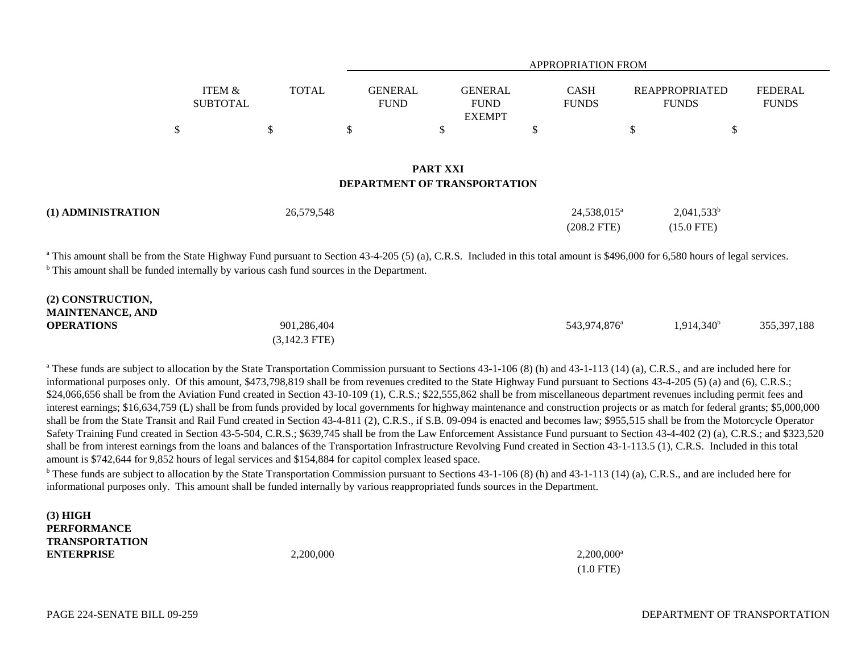|                                    |                        | APPROPRIATION FROM |                                                              |                                |                                |  |
|------------------------------------|------------------------|--------------------|--------------------------------------------------------------|--------------------------------|--------------------------------|--|
| ITEM &<br>TOTAL<br><b>SUBTOTAL</b> | GENERAL<br><b>FUND</b> |                    | <b>GENERAL</b><br><b>CASH</b><br><b>FUNDS</b><br><b>FUND</b> | REAPPROPRIATED<br><b>FUNDS</b> | <b>FEDERAL</b><br><b>FUNDS</b> |  |
|                                    |                        |                    | <b>EXEMPT</b>                                                |                                |                                |  |
|                                    |                        |                    |                                                              |                                |                                |  |

## **PART XXIDEPARTMENT OF TRANSPORTATION**

| (1) ADMINISTRATION | 26,579,548 | 24.538.015 <sup>a</sup> | $2,041,533^b$ |  |
|--------------------|------------|-------------------------|---------------|--|
|                    |            | $(208.2$ FTE)           | $(15.0$ FTE)  |  |

<sup>a</sup> This amount shall be from the State Highway Fund pursuant to Section 43-4-205 (5) (a), C.R.S. Included in this total amount is \$496,000 for 6,580 hours of legal services. <sup>b</sup> This amount shall be funded internally by various cash fund sources in the Department.

| (2) CONSTRUCTION,       |                 |                          |               |             |
|-------------------------|-----------------|--------------------------|---------------|-------------|
| <b>MAINTENANCE, AND</b> |                 |                          |               |             |
| <b>OPERATIONS</b>       | 901,286,404     | 543.974.876 <sup>a</sup> | $1.914.340^b$ | 355,397,188 |
|                         | $(3,142.3$ FTE) |                          |               |             |

<sup>a</sup> These funds are subject to allocation by the State Transportation Commission pursuant to Sections 43-1-106 (8) (h) and 43-1-113 (14) (a), C.R.S., and are included here for informational purposes only. Of this amount, \$473,798,819 shall be from revenues credited to the State Highway Fund pursuant to Sections 43-4-205 (5) (a) and (6), C.R.S.; \$24,066,656 shall be from the Aviation Fund created in Section 43-10-109 (1), C.R.S.; \$22,555,862 shall be from miscellaneous department revenues including permit fees and interest earnings; \$16,634,759 (L) shall be from funds provided by local governments for highway maintenance and construction projects or as match for federal grants; \$5,000,000 shall be from the State Transit and Rail Fund created in Section 43-4-811 (2), C.R.S., if S.B. 09-094 is enacted and becomes law; \$955,515 shall be from the Motorcycle Operator Safety Training Fund created in Section 43-5-504, C.R.S.; \$639,745 shall be from the Law Enforcement Assistance Fund pursuant to Section 43-4-402 (2) (a), C.R.S.; and \$323,520 shall be from interest earnings from the loans and balances of the Transportation Infrastructure Revolving Fund created in Section 43-1-113.5 (1), C.R.S. Included in this total amount is \$742,644 for 9,852 hours of legal services and \$154,884 for capitol complex leased space.

<sup>b</sup> These funds are subject to allocation by the State Transportation Commission pursuant to Sections 43-1-106 (8) (h) and 43-1-113 (14) (a), C.R.S., and are included here for informational purposes only. This amount shall be funded internally by various reappropriated funds sources in the Department.

**(3) HIGH PERFORMANCETRANSPORTATIONENTERPRISE**

**E** 2,200,000 2,200,000 2,200,000 2,200,000 2,200,000 2,200,000 2,200,000 2,200,000 2,200,000 2,200,000 2,200,000 2,200,000 2,200,000 2,200,000 2,200,000 2,200,000 2,200,000 2,200,000 2,200,000 2,200,000 2,200,000 2,200,0 (1.0 FTE)